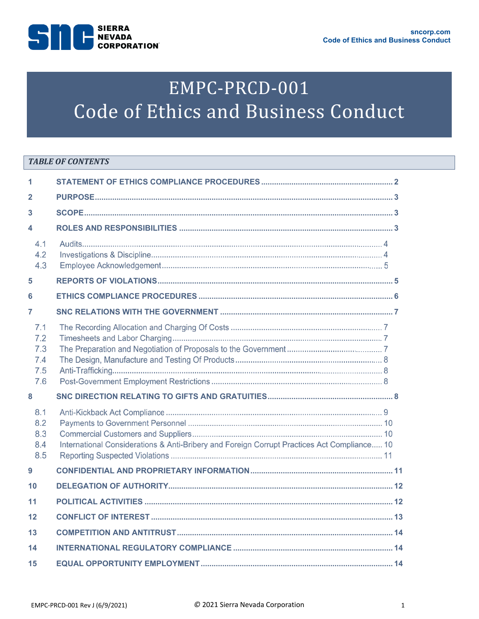

# EMPC-PRCD-001 Code of Ethics and Business Conduct

## **TABLE OF CONTENTS**

| 1                                      |                                                                                             |  |  |
|----------------------------------------|---------------------------------------------------------------------------------------------|--|--|
| $\overline{2}$                         |                                                                                             |  |  |
| 3                                      |                                                                                             |  |  |
| 4                                      |                                                                                             |  |  |
| 4.1<br>4.2<br>4.3                      |                                                                                             |  |  |
| 5                                      |                                                                                             |  |  |
| 6                                      |                                                                                             |  |  |
| 7                                      |                                                                                             |  |  |
| 7.1<br>7.2<br>7.3<br>7.4<br>7.5<br>7.6 |                                                                                             |  |  |
| 8                                      |                                                                                             |  |  |
| 8.1<br>8.2<br>8.3<br>8.4<br>8.5        | International Considerations & Anti-Bribery and Foreign Corrupt Practices Act Compliance 10 |  |  |
| $\boldsymbol{9}$                       |                                                                                             |  |  |
| 10                                     |                                                                                             |  |  |
| 11                                     |                                                                                             |  |  |
| 12                                     |                                                                                             |  |  |
| 13                                     |                                                                                             |  |  |
| 14                                     |                                                                                             |  |  |
| 15                                     |                                                                                             |  |  |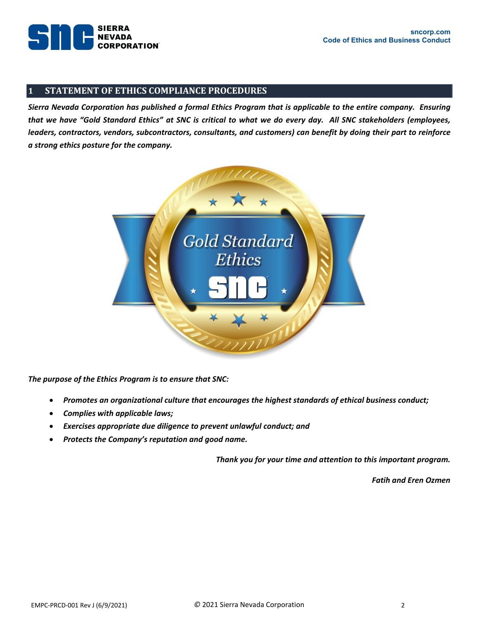

## <span id="page-1-0"></span>**1 STATEMENT OF ETHICS COMPLIANCE PROCEDURES**

*Sierra Nevada Corporation has published a formal Ethics Program that is applicable to the entire company. Ensuring that we have "Gold Standard Ethics" at SNC is critical to what we do every day. All SNC stakeholders (employees, leaders, contractors, vendors, subcontractors, consultants, and customers) can benefit by doing their part to reinforce a strong ethics posture for the company.* 



*The purpose of the Ethics Program is to ensure that SNC:*

- *Promotes an organizational culture that encourages the highest standards of ethical business conduct;*
- *Complies with applicable laws;*
- *Exercises appropriate due diligence to prevent unlawful conduct; and*
- *Protects the Company's reputation and good name.*

*Thank you for your time and attention to this important program.*

*Fatih and Eren Ozmen*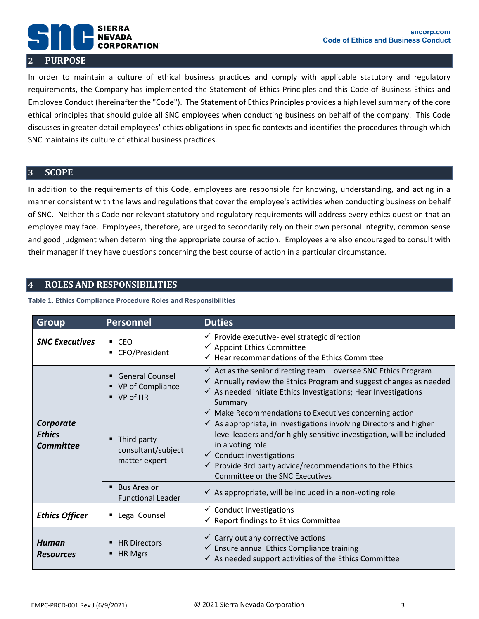### **sncorp.com Code of Ethics and Business Conduct**

## **SIERRA NEVADA CORPORATION 2 PURPOSE**

<span id="page-2-0"></span>In order to maintain a culture of ethical business practices and comply with applicable statutory and regulatory requirements, the Company has implemented the Statement of Ethics Principles and this Code of Business Ethics and Employee Conduct (hereinafter the "Code"). The Statement of Ethics Principles provides a high level summary of the core ethical principles that should guide all SNC employees when conducting business on behalf of the company. This Code discusses in greater detail employees' ethics obligations in specific contexts and identifies the procedures through which SNC maintains its culture of ethical business practices.

## <span id="page-2-1"></span>**3 SCOPE**

In addition to the requirements of this Code, employees are responsible for knowing, understanding, and acting in a manner consistent with the laws and regulations that cover the employee's activities when conducting business on behalf of SNC. Neither this Code nor relevant statutory and regulatory requirements will address every ethics question that an employee may face. Employees, therefore, are urged to secondarily rely on their own personal integrity, common sense and good judgment when determining the appropriate course of action. Employees are also encouraged to consult with their manager if they have questions concerning the best course of action in a particular circumstance.

## <span id="page-2-2"></span>**4 ROLES AND RESPONSIBILITIES**

## **Table 1. Ethics Compliance Procedure Roles and Responsibilities**

| <b>Group</b>                                   | <b>Personnel</b>                                                        | <b>Duties</b>                                                                                                                                                                                                                                                                                                               |
|------------------------------------------------|-------------------------------------------------------------------------|-----------------------------------------------------------------------------------------------------------------------------------------------------------------------------------------------------------------------------------------------------------------------------------------------------------------------------|
| <b>SNC Executives</b>                          | $-CEO$<br>■ CFO/President                                               | $\checkmark$ Provide executive-level strategic direction<br>✔ Appoint Ethics Committee<br>$\checkmark$ Hear recommendations of the Ethics Committee                                                                                                                                                                         |
|                                                | <b>General Counsel</b><br>■ VP of Compliance<br>$\blacksquare$ VP of HR | $\checkmark$ Act as the senior directing team – oversee SNC Ethics Program<br>$\checkmark$ Annually review the Ethics Program and suggest changes as needed<br>$\checkmark$ As needed initiate Ethics Investigations; Hear Investigations<br>Summary<br>$\checkmark$ Make Recommendations to Executives concerning action   |
| Corporate<br><b>Ethics</b><br><b>Committee</b> | Third party<br>consultant/subject<br>matter expert                      | $\checkmark$ As appropriate, in investigations involving Directors and higher<br>level leaders and/or highly sensitive investigation, will be included<br>in a voting role<br>$\checkmark$ Conduct investigations<br>$\checkmark$ Provide 3rd party advice/recommendations to the Ethics<br>Committee or the SNC Executives |
|                                                | ■ Bus Area or<br><b>Functional Leader</b>                               | $\checkmark$ As appropriate, will be included in a non-voting role                                                                                                                                                                                                                                                          |
| <b>Ethics Officer</b>                          | Legal Counsel                                                           | $\checkmark$ Conduct Investigations<br>$\checkmark$ Report findings to Ethics Committee                                                                                                                                                                                                                                     |
| Human<br><b>Resources</b>                      | <b>HR Directors</b><br>HR Mgrs                                          | $\checkmark$ Carry out any corrective actions<br>$\checkmark$ Ensure annual Ethics Compliance training<br>$\checkmark$ As needed support activities of the Ethics Committee                                                                                                                                                 |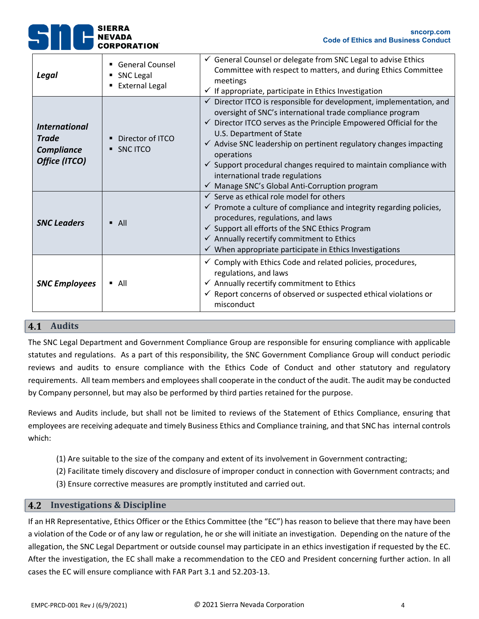| Legal                                                               | <b>General Counsel</b><br>SNC Legal<br><b>External Legal</b> | $\checkmark$ General Counsel or delegate from SNC Legal to advise Ethics<br>Committee with respect to matters, and during Ethics Committee<br>meetings<br>$\checkmark$ If appropriate, participate in Ethics Investigation                                                                                                                                                                                                                                                                                                 |
|---------------------------------------------------------------------|--------------------------------------------------------------|----------------------------------------------------------------------------------------------------------------------------------------------------------------------------------------------------------------------------------------------------------------------------------------------------------------------------------------------------------------------------------------------------------------------------------------------------------------------------------------------------------------------------|
| <b>International</b><br><b>Trade</b><br>Compliance<br>Office (ITCO) | Director of ITCO<br>SNC ITCO                                 | $\checkmark$ Director ITCO is responsible for development, implementation, and<br>oversight of SNC's international trade compliance program<br>$\checkmark$ Director ITCO serves as the Principle Empowered Official for the<br>U.S. Department of State<br>$\checkmark$ Advise SNC leadership on pertinent regulatory changes impacting<br>operations<br>$\checkmark$ Support procedural changes required to maintain compliance with<br>international trade regulations<br>√ Manage SNC's Global Anti-Corruption program |
| <b>SNC Leaders</b>                                                  | $\blacksquare$ All                                           | $\checkmark$ Serve as ethical role model for others<br>$\checkmark$ Promote a culture of compliance and integrity regarding policies,<br>procedures, regulations, and laws<br>$\checkmark$ Support all efforts of the SNC Ethics Program<br>$\checkmark$ Annually recertify commitment to Ethics<br>$\checkmark$ When appropriate participate in Ethics Investigations                                                                                                                                                     |
| <b>SNC Employees</b>                                                | All<br>٠                                                     | $\checkmark$ Comply with Ethics Code and related policies, procedures,<br>regulations, and laws<br>$\checkmark$ Annually recertify commitment to Ethics<br>$\checkmark$ Report concerns of observed or suspected ethical violations or<br>misconduct                                                                                                                                                                                                                                                                       |

## 4.1 Audits

The SNC Legal Department and Government Compliance Group are responsible for ensuring compliance with applicable statutes and regulations. As a part of this responsibility, the SNC Government Compliance Group will conduct periodic reviews and audits to ensure compliance with the Ethics Code of Conduct and other statutory and regulatory requirements. All team members and employees shall cooperate in the conduct of the audit. The audit may be conducted by Company personnel, but may also be performed by third parties retained for the purpose.

Reviews and Audits include, but shall not be limited to reviews of the Statement of Ethics Compliance, ensuring that employees are receiving adequate and timely Business Ethics and Compliance training, and that SNC has internal controls which:

- (1) Are suitable to the size of the company and extent of its involvement in Government contracting;
- (2) Facilitate timely discovery and disclosure of improper conduct in connection with Government contracts; and
- (3) Ensure corrective measures are promptly instituted and carried out.

## **Investigations & Discipline**

If an HR Representative, Ethics Officer or the Ethics Committee (the "EC") has reason to believe that there may have been a violation of the Code or of any law or regulation, he or she will initiate an investigation. Depending on the nature of the allegation, the SNC Legal Department or outside counsel may participate in an ethics investigation if requested by the EC. After the investigation, the EC shall make a recommendation to the CEO and President concerning further action. In all cases the EC will ensure compliance with FAR Part 3.1 and 52.203-13.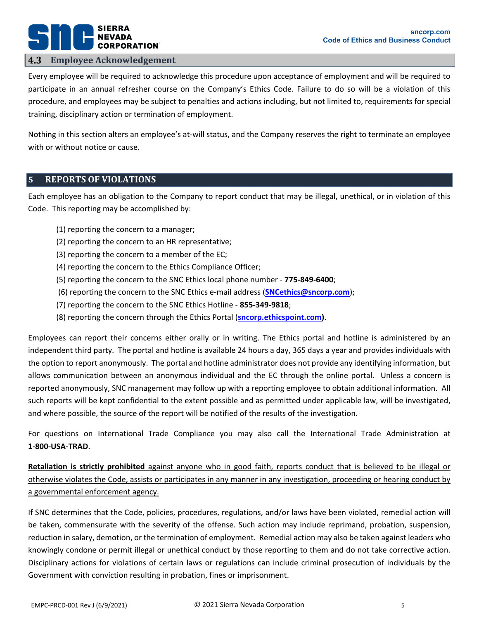# **SIERRA** PORATION®

## **Employee Acknowledgement**

Every employee will be required to acknowledge this procedure upon acceptance of employment and will be required to participate in an annual refresher course on the Company's Ethics Code. Failure to do so will be a violation of this procedure, and employees may be subject to penalties and actions including, but not limited to, requirements for special training, disciplinary action or termination of employment.

Nothing in this section alters an employee's at-will status, and the Company reserves the right to terminate an employee with or without notice or cause.

## <span id="page-4-0"></span>**5 REPORTS OF VIOLATIONS**

Each employee has an obligation to the Company to report conduct that may be illegal, unethical, or in violation of this Code. This reporting may be accomplished by:

- (1) reporting the concern to a manager;
- (2) reporting the concern to an HR representative;
- (3) reporting the concern to a member of the EC;
- (4) reporting the concern to the Ethics Compliance Officer;
- (5) reporting the concern to the SNC Ethics local phone number **775-849-6400**;
- (6) reporting the concern to the SNC Ethics e-mail address (**[SNCethics@sncorp.com](mailto:SNCethics@sncorp.com)**);
- (7) reporting the concern to the SNC Ethics Hotline **855-349-9818**;
- (8) reporting the concern through the Ethics Portal (**[sncorp.ethicspoint.com\)](http://www.sncorp.ethicspoint.com/)**.

Employees can report their concerns either orally or in writing. The Ethics portal and hotline is administered by an independent third party. The portal and hotline is available 24 hours a day, 365 days a year and provides individuals with the option to report anonymously. The portal and hotline administrator does not provide any identifying information, but allows communication between an anonymous individual and the EC through the online portal. Unless a concern is reported anonymously, SNC management may follow up with a reporting employee to obtain additional information. All such reports will be kept confidential to the extent possible and as permitted under applicable law, will be investigated, and where possible, the source of the report will be notified of the results of the investigation.

For questions on International Trade Compliance you may also call the International Trade Administration at **1-800-USA-TRAD**.

**Retaliation is strictly prohibited** against anyone who in good faith, reports conduct that is believed to be illegal or otherwise violates the Code, assists or participates in any manner in any investigation, proceeding or hearing conduct by a governmental enforcement agency.

If SNC determines that the Code, policies, procedures, regulations, and/or laws have been violated, remedial action will be taken, commensurate with the severity of the offense. Such action may include reprimand, probation, suspension, reduction in salary, demotion, or the termination of employment. Remedial action may also be taken against leaders who knowingly condone or permit illegal or unethical conduct by those reporting to them and do not take corrective action. Disciplinary actions for violations of certain laws or regulations can include criminal prosecution of individuals by the Government with conviction resulting in probation, fines or imprisonment.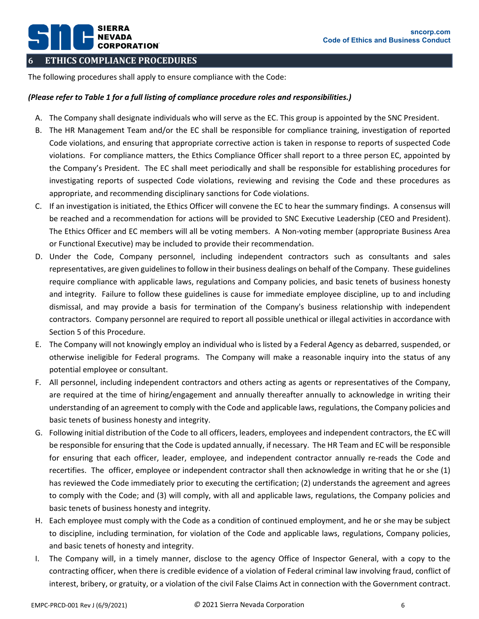## <span id="page-5-0"></span>**6 ETHICS COMPLIANCE PROCEDURES**

**SIERRA** 

**CORPORATION** 

The following procedures shall apply to ensure compliance with the Code:

## *(Please refer to Table 1 for a full listing of compliance procedure roles and responsibilities.)*

- A. The Company shall designate individuals who will serve as the EC. This group is appointed by the SNC President.
- B. The HR Management Team and/or the EC shall be responsible for compliance training, investigation of reported Code violations, and ensuring that appropriate corrective action is taken in response to reports of suspected Code violations. For compliance matters, the Ethics Compliance Officer shall report to a three person EC, appointed by the Company's President. The EC shall meet periodically and shall be responsible for establishing procedures for investigating reports of suspected Code violations, reviewing and revising the Code and these procedures as appropriate, and recommending disciplinary sanctions for Code violations.
- C. If an investigation is initiated, the Ethics Officer will convene the EC to hear the summary findings. A consensus will be reached and a recommendation for actions will be provided to SNC Executive Leadership (CEO and President). The Ethics Officer and EC members will all be voting members. A Non-voting member (appropriate Business Area or Functional Executive) may be included to provide their recommendation.
- D. Under the Code, Company personnel, including independent contractors such as consultants and sales representatives, are given guidelines to follow in their business dealings on behalf of the Company. These guidelines require compliance with applicable laws, regulations and Company policies, and basic tenets of business honesty and integrity. Failure to follow these guidelines is cause for immediate employee discipline, up to and including dismissal, and may provide a basis for termination of the Company's business relationship with independent contractors. Company personnel are required to report all possible unethical or illegal activities in accordance with Section [5](#page-4-0) of this Procedure.
- E. The Company will not knowingly employ an individual who is listed by a Federal Agency as debarred, suspended, or otherwise ineligible for Federal programs. The Company will make a reasonable inquiry into the status of any potential employee or consultant.
- F. All personnel, including independent contractors and others acting as agents or representatives of the Company, are required at the time of hiring/engagement and annually thereafter annually to acknowledge in writing their understanding of an agreement to comply with the Code and applicable laws, regulations, the Company policies and basic tenets of business honesty and integrity.
- G. Following initial distribution of the Code to all officers, leaders, employees and independent contractors, the EC will be responsible for ensuring that the Code is updated annually, if necessary. The HR Team and EC will be responsible for ensuring that each officer, leader, employee, and independent contractor annually re-reads the Code and recertifies. The officer, employee or independent contractor shall then acknowledge in writing that he or she (1) has reviewed the Code immediately prior to executing the certification; (2) understands the agreement and agrees to comply with the Code; and (3) will comply, with all and applicable laws, regulations, the Company policies and basic tenets of business honesty and integrity.
- H. Each employee must comply with the Code as a condition of continued employment, and he or she may be subject to discipline, including termination, for violation of the Code and applicable laws, regulations, Company policies, and basic tenets of honesty and integrity.
- I. The Company will, in a timely manner, disclose to the agency Office of Inspector General, with a copy to the contracting officer, when there is credible evidence of a violation of Federal criminal law involving fraud, conflict of interest, bribery, or gratuity, or a violation of the civil False Claims Act in connection with the Government contract.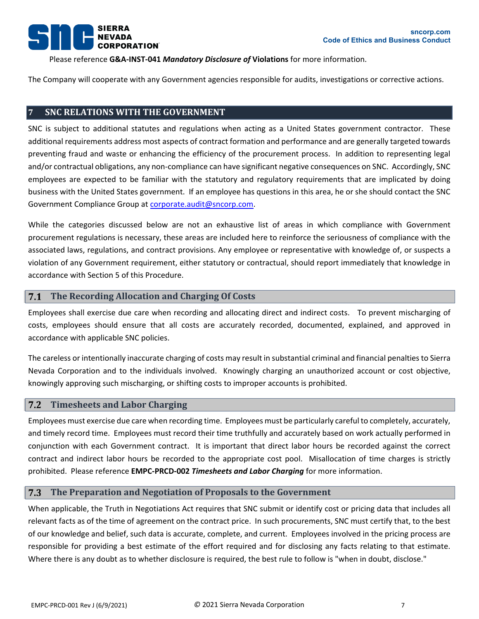

Please reference **G&A-INST-041** *Mandatory Disclosure of* **Violations** for more information.

The Company will cooperate with any Government agencies responsible for audits, investigations or corrective actions.

## <span id="page-6-0"></span>**7 SNC RELATIONS WITH THE GOVERNMENT**

SNC is subject to additional statutes and regulations when acting as a United States government contractor. These additional requirements address most aspects of contract formation and performance and are generally targeted towards preventing fraud and waste or enhancing the efficiency of the procurement process. In addition to representing legal and/or contractual obligations, any non-compliance can have significant negative consequences on SNC. Accordingly, SNC employees are expected to be familiar with the statutory and regulatory requirements that are implicated by doing business with the United States government. If an employee has questions in this area, he or she should contact the SNC Government Compliance Group at [corporate.audit@sncorp.com.](mailto:corporate.audit@sncorp.com)

While the categories discussed below are not an exhaustive list of areas in which compliance with Government procurement regulations is necessary, these areas are included here to reinforce the seriousness of compliance with the associated laws, regulations, and contract provisions. Any employee or representative with knowledge of, or suspects a violation of any Government requirement, either statutory or contractual, should report immediately that knowledge in accordance with Section [5](#page-4-0) of this Procedure.

#### **The Recording Allocation and Charging Of Costs**  $7.1$

Employees shall exercise due care when recording and allocating direct and indirect costs. To prevent mischarging of costs, employees should ensure that all costs are accurately recorded, documented, explained, and approved in accordance with applicable SNC policies.

The careless or intentionally inaccurate charging of costs may result in substantial criminal and financial penalties to Sierra Nevada Corporation and to the individuals involved. Knowingly charging an unauthorized account or cost objective, knowingly approving such mischarging, or shifting costs to improper accounts is prohibited.

#### $7.2$ **Timesheets and Labor Charging**

Employees must exercise due care when recording time. Employees must be particularly careful to completely, accurately, and timely record time. Employees must record their time truthfully and accurately based on work actually performed in conjunction with each Government contract. It is important that direct labor hours be recorded against the correct contract and indirect labor hours be recorded to the appropriate cost pool. Misallocation of time charges is strictly prohibited. Please reference **EMPC-PRCD-002** *Timesheets and Labor Charging* for more information.

#### 7.3 **The Preparation and Negotiation of Proposals to the Government**

When applicable, the Truth in Negotiations Act requires that SNC submit or identify cost or pricing data that includes all relevant facts as of the time of agreement on the contract price. In such procurements, SNC must certify that, to the best of our knowledge and belief, such data is accurate, complete, and current. Employees involved in the pricing process are responsible for providing a best estimate of the effort required and for disclosing any facts relating to that estimate. Where there is any doubt as to whether disclosure is required, the best rule to follow is "when in doubt, disclose."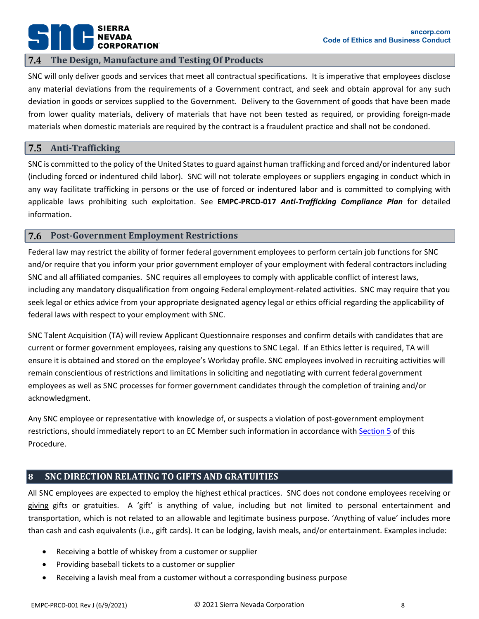# **SIERRA CORPORATION**

#### **The Design, Manufacture and Testing Of Products**  7.4

SNC will only deliver goods and services that meet all contractual specifications. It is imperative that employees disclose any material deviations from the requirements of a Government contract, and seek and obtain approval for any such deviation in goods or services supplied to the Government. Delivery to the Government of goods that have been made from lower quality materials, delivery of materials that have not been tested as required, or providing foreign-made materials when domestic materials are required by the contract is a fraudulent practice and shall not be condoned.

#### 7.5 **Anti-Trafficking**

SNC is committed to the policy of the United States to guard against human trafficking and forced and/or indentured labor (including forced or indentured child labor). SNC will not tolerate employees or suppliers engaging in conduct which in any way facilitate trafficking in persons or the use of forced or indentured labor and is committed to complying with applicable laws prohibiting such exploitation. See **EMPC-PRCD-017** *Anti-Trafficking Compliance Plan* for detailed information.

#### 7.6 **Post-Government Employment Restrictions**

Federal law may restrict the ability of former federal government employees to perform certain job functions for SNC and/or require that you inform your prior government employer of your employment with federal contractors including SNC and all affiliated companies. SNC requires all employees to comply with applicable conflict of interest laws, including any mandatory disqualification from ongoing Federal employment-related activities. SNC may require that you seek legal or ethics advice from your appropriate designated agency legal or ethics official regarding the applicability of federal laws with respect to your employment with SNC.

SNC Talent Acquisition (TA) will review Applicant Questionnaire responses and confirm details with candidates that are current or former government employees, raising any questions to SNC Legal. If an Ethics letter is required, TA will ensure it is obtained and stored on the employee's Workday profile. SNC employees involved in recruiting activities will remain conscientious of restrictions and limitations in soliciting and negotiating with current federal government employees as well as SNC processes for former government candidates through the completion of training and/or acknowledgment.

Any SNC employee or representative with knowledge of, or suspects a violation of post-government employment restrictions, should immediately report to an EC Member such information in accordance with [Section 5](#page-4-0) of this Procedure.

## <span id="page-7-0"></span>**8 SNC DIRECTION RELATING TO GIFTS AND GRATUITIES**

All SNC employees are expected to employ the highest ethical practices. SNC does not condone employees receiving or giving gifts or gratuities. A 'gift' is anything of value, including but not limited to personal entertainment and transportation, which is not related to an allowable and legitimate business purpose. 'Anything of value' includes more than cash and cash equivalents (i.e., gift cards). It can be lodging, lavish meals, and/or entertainment. Examples include:

- Receiving a bottle of whiskey from a customer or supplier
- Providing baseball tickets to a customer or supplier
- Receiving a lavish meal from a customer without a corresponding business purpose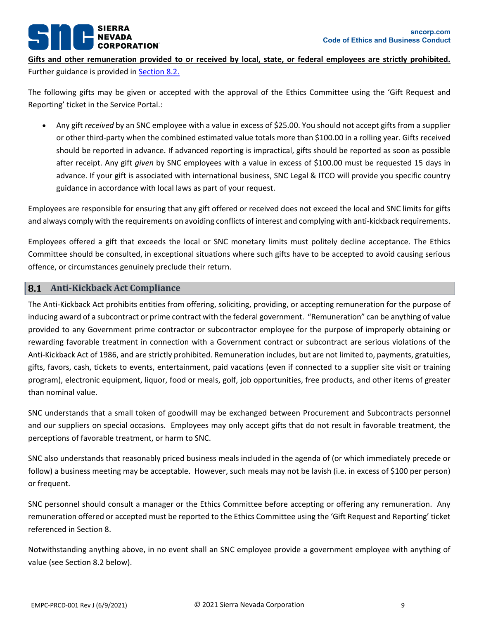# **ORATION**®

**Gifts and other remuneration provided to or received by local, state, or federal employees are strictly prohibited.** Further guidance is provided in [Section 8.2.](#page-9-0)

The following gifts may be given or accepted with the approval of the Ethics Committee using the 'Gift Request and Reporting' ticket in the Service Portal.:

• Any gift *received* by an SNC employee with a value in excess of \$25.00. You should not accept gifts from a supplier or other third-party when the combined estimated value totals more than \$100.00 in a rolling year. Gifts received should be reported in advance. If advanced reporting is impractical, gifts should be reported as soon as possible after receipt. Any gift *given* by SNC employees with a value in excess of \$100.00 must be requested 15 days in advance. If your gift is associated with international business, SNC Legal & ITCO will provide you specific country guidance in accordance with local laws as part of your request.

Employees are responsible for ensuring that any gift offered or received does not exceed the local and SNC limits for gifts and always comply with the requirements on avoiding conflicts of interest and complying with anti-kickback requirements.

Employees offered a gift that exceeds the local or SNC monetary limits must politely decline acceptance. The Ethics Committee should be consulted, in exceptional situations where such gifts have to be accepted to avoid causing serious offence, or circumstances genuinely preclude their return.

#### 8.1 **Anti-Kickback Act Compliance**

The Anti-Kickback Act prohibits entities from offering, soliciting, providing, or accepting remuneration for the purpose of inducing award of a subcontract or prime contract with the federal government. "Remuneration" can be anything of value provided to any Government prime contractor or subcontractor employee for the purpose of improperly obtaining or rewarding favorable treatment in connection with a Government contract or subcontract are serious violations of the Anti-Kickback Act of 1986, and are strictly prohibited. Remuneration includes, but are not limited to, payments, gratuities, gifts, favors, cash, tickets to events, entertainment, paid vacations (even if connected to a supplier site visit or training program), electronic equipment, liquor, food or meals, golf, job opportunities, free products, and other items of greater than nominal value.

SNC understands that a small token of goodwill may be exchanged between Procurement and Subcontracts personnel and our suppliers on special occasions. Employees may only accept gifts that do not result in favorable treatment, the perceptions of favorable treatment, or harm to SNC.

SNC also understands that reasonably priced business meals included in the agenda of (or which immediately precede or follow) a business meeting may be acceptable. However, such meals may not be lavish (i.e. in excess of \$100 per person) or frequent.

SNC personnel should consult a manager or the Ethics Committee before accepting or offering any remuneration. Any remuneration offered or accepted must be reported to the Ethics Committee using the 'Gift Request and Reporting' ticket referenced in Section 8.

Notwithstanding anything above, in no event shall an SNC employee provide a government employee with anything of value (see Section [8.2](#page-9-0) below).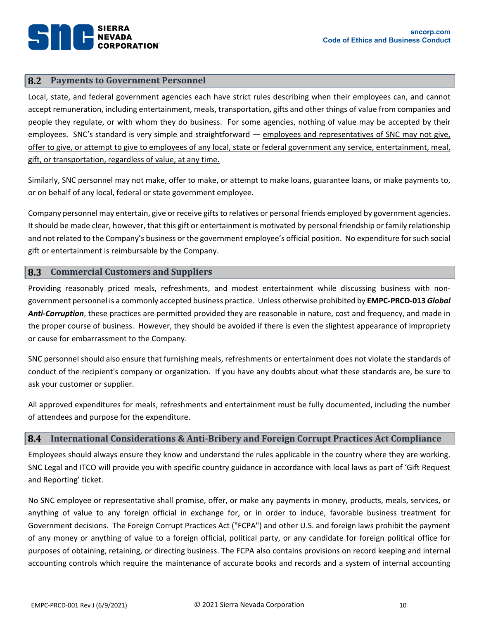#### <span id="page-9-0"></span>8.2 **Payments to Government Personnel**

Local, state, and federal government agencies each have strict rules describing when their employees can, and cannot accept remuneration, including entertainment, meals, transportation, gifts and other things of value from companies and people they regulate, or with whom they do business. For some agencies, nothing of value may be accepted by their employees. SNC's standard is very simple and straightforward — employees and representatives of SNC may not give, offer to give, or attempt to give to employees of any local, state or federal government any service, entertainment, meal, gift, or transportation, regardless of value, at any time.

Similarly, SNC personnel may not make, offer to make, or attempt to make loans, guarantee loans, or make payments to, or on behalf of any local, federal or state government employee.

Company personnel may entertain, give or receive gifts to relatives or personal friends employed by government agencies. It should be made clear, however, that this gift or entertainment is motivated by personal friendship or family relationship and not related to the Company's business or the government employee's official position. No expenditure for such social gift or entertainment is reimbursable by the Company.

#### 8.3 **Commercial Customers and Suppliers**

Providing reasonably priced meals, refreshments, and modest entertainment while discussing business with nongovernment personnel is a commonly accepted business practice. Unless otherwise prohibited by **EMPC-PRCD-013** *Global Anti-Corruption*, these practices are permitted provided they are reasonable in nature, cost and frequency, and made in the proper course of business. However, they should be avoided if there is even the slightest appearance of impropriety or cause for embarrassment to the Company.

SNC personnel should also ensure that furnishing meals, refreshments or entertainment does not violate the standards of conduct of the recipient's company or organization. If you have any doubts about what these standards are, be sure to ask your customer or supplier.

All approved expenditures for meals, refreshments and entertainment must be fully documented, including the number of attendees and purpose for the expenditure.

#### **International Considerations & Anti-Bribery and Foreign Corrupt Practices Act Compliance** 8.4

Employees should always ensure they know and understand the rules applicable in the country where they are working. SNC Legal and ITCO will provide you with specific country guidance in accordance with local laws as part of 'Gift Request and Reporting' ticket.

No SNC employee or representative shall promise, offer, or make any payments in money, products, meals, services, or anything of value to any foreign official in exchange for, or in order to induce, favorable business treatment for Government decisions. The Foreign Corrupt Practices Act ("FCPA") and other U.S. and foreign laws prohibit the payment of any money or anything of value to a foreign official, political party, or any candidate for foreign political office for purposes of obtaining, retaining, or directing business. The FCPA also contains provisions on record keeping and internal accounting controls which require the maintenance of accurate books and records and a system of internal accounting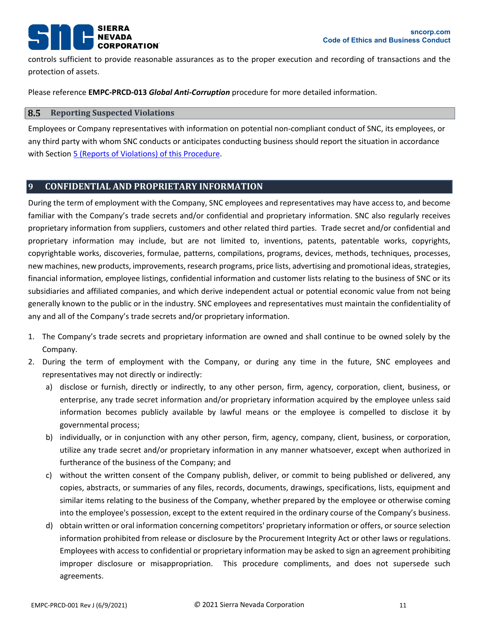# **SIERRA ORATION**

controls sufficient to provide reasonable assurances as to the proper execution and recording of transactions and the protection of assets.

Please reference **EMPC-PRCD-013** *Global Anti-Corruption* procedure for more detailed information.

#### 8.5 **Reporting Suspected Violations**

Employees or Company representatives with information on potential non-compliant conduct of SNC, its employees, or any third party with whom SNC conducts or anticipates conducting business should report the situation in accordance with Section [5 \(Reports of Violations\)](#page-4-0) of this Procedure.

## <span id="page-10-0"></span>**9 CONFIDENTIAL AND PROPRIETARY INFORMATION**

During the term of employment with the Company, SNC employees and representatives may have access to, and become familiar with the Company's trade secrets and/or confidential and proprietary information. SNC also regularly receives proprietary information from suppliers, customers and other related third parties. Trade secret and/or confidential and proprietary information may include, but are not limited to, inventions, patents, patentable works, copyrights, copyrightable works, discoveries, formulae, patterns, compilations, programs, devices, methods, techniques, processes, new machines, new products, improvements, research programs, price lists, advertising and promotional ideas, strategies, financial information, employee listings, confidential information and customer lists relating to the business of SNC or its subsidiaries and affiliated companies, and which derive independent actual or potential economic value from not being generally known to the public or in the industry. SNC employees and representatives must maintain the confidentiality of any and all of the Company's trade secrets and/or proprietary information.

- 1. The Company's trade secrets and proprietary information are owned and shall continue to be owned solely by the Company.
- 2. During the term of employment with the Company, or during any time in the future, SNC employees and representatives may not directly or indirectly:
	- a) disclose or furnish, directly or indirectly, to any other person, firm, agency, corporation, client, business, or enterprise, any trade secret information and/or proprietary information acquired by the employee unless said information becomes publicly available by lawful means or the employee is compelled to disclose it by governmental process;
	- b) individually, or in conjunction with any other person, firm, agency, company, client, business, or corporation, utilize any trade secret and/or proprietary information in any manner whatsoever, except when authorized in furtherance of the business of the Company; and
	- c) without the written consent of the Company publish, deliver, or commit to being published or delivered, any copies, abstracts, or summaries of any files, records, documents, drawings, specifications, lists, equipment and similar items relating to the business of the Company, whether prepared by the employee or otherwise coming into the employee's possession, except to the extent required in the ordinary course of the Company's business.
	- d) obtain written or oral information concerning competitors' proprietary information or offers, or source selection information prohibited from release or disclosure by the Procurement Integrity Act or other laws or regulations. Employees with access to confidential or proprietary information may be asked to sign an agreement prohibiting improper disclosure or misappropriation. This procedure compliments, and does not supersede such agreements.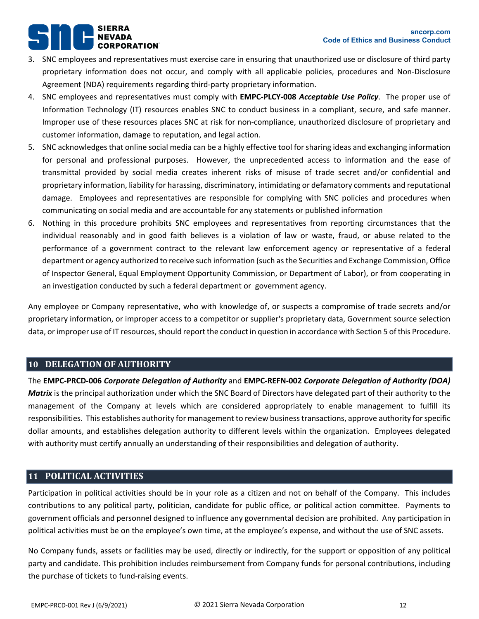# **SIERRA CORPORATION**

- 3. SNC employees and representatives must exercise care in ensuring that unauthorized use or disclosure of third party proprietary information does not occur, and comply with all applicable policies, procedures and Non-Disclosure Agreement (NDA) requirements regarding third-party proprietary information.
- 4. SNC employees and representatives must comply with **EMPC-PLCY-008** *Acceptable Use Policy*. The proper use of Information Technology (IT) resources enables SNC to conduct business in a compliant, secure, and safe manner. Improper use of these resources places SNC at risk for non-compliance, unauthorized disclosure of proprietary and customer information, damage to reputation, and legal action.
- 5. SNC acknowledges that online social media can be a highly effective tool for sharing ideas and exchanging information for personal and professional purposes. However, the unprecedented access to information and the ease of transmittal provided by social media creates inherent risks of misuse of trade secret and/or confidential and proprietary information, liability for harassing, discriminatory, intimidating or defamatory comments and reputational damage. Employees and representatives are responsible for complying with SNC policies and procedures when communicating on social media and are accountable for any statements or published information
- 6. Nothing in this procedure prohibits SNC employees and representatives from reporting circumstances that the individual reasonably and in good faith believes is a violation of law or waste, fraud, or abuse related to the performance of a government contract to the relevant law enforcement agency or representative of a federal department or agency authorized to receive such information (such as the Securities and Exchange Commission, Office of Inspector General, Equal Employment Opportunity Commission, or Department of Labor), or from cooperating in an investigation conducted by such a federal department or government agency.

Any employee or Company representative, who with knowledge of, or suspects a compromise of trade secrets and/or proprietary information, or improper access to a competitor or supplier's proprietary data, Government source selection data, or improper use of IT resources, should report the conduct in question in accordance with Sectio[n 5](#page-4-0) of this Procedure.

## <span id="page-11-0"></span>**10 DELEGATION OF AUTHORITY**

The **EMPC-PRCD-006** *Corporate Delegation of Authority* and **EMPC-REFN-002** *Corporate Delegation of Authority (DOA) Matrix* is the principal authorization under which the SNC Board of Directors have delegated part of their authority to the management of the Company at levels which are considered appropriately to enable management to fulfill its responsibilities. This establishes authority for management to review business transactions, approve authority for specific dollar amounts, and establishes delegation authority to different levels within the organization. Employees delegated with authority must certify annually an understanding of their responsibilities and delegation of authority.

## <span id="page-11-1"></span>**11 POLITICAL ACTIVITIES**

Participation in political activities should be in your role as a citizen and not on behalf of the Company. This includes contributions to any political party, politician, candidate for public office, or political action committee. Payments to government officials and personnel designed to influence any governmental decision are prohibited. Any participation in political activities must be on the employee's own time, at the employee's expense, and without the use of SNC assets.

No Company funds, assets or facilities may be used, directly or indirectly, for the support or opposition of any political party and candidate. This prohibition includes reimbursement from Company funds for personal contributions, including the purchase of tickets to fund-raising events.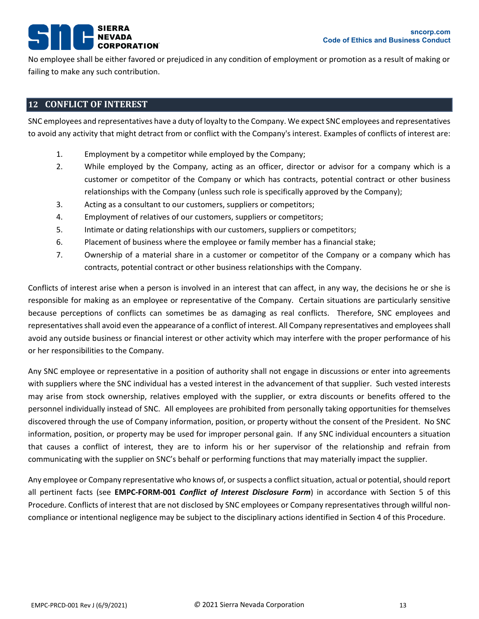## **SIERRA** PORATION®

No employee shall be either favored or prejudiced in any condition of employment or promotion as a result of making or failing to make any such contribution.

## <span id="page-12-0"></span>**12 CONFLICT OF INTEREST**

SNC employees and representatives have a duty of loyalty to the Company. We expect SNC employees and representatives to avoid any activity that might detract from or conflict with the Company's interest. Examples of conflicts of interest are:

- 1. Employment by a competitor while employed by the Company;
- 2. While employed by the Company, acting as an officer, director or advisor for a company which is a customer or competitor of the Company or which has contracts, potential contract or other business relationships with the Company (unless such role is specifically approved by the Company);
- 3. Acting as a consultant to our customers, suppliers or competitors;
- 4. Employment of relatives of our customers, suppliers or competitors;
- 5. Intimate or dating relationships with our customers, suppliers or competitors;
- 6. Placement of business where the employee or family member has a financial stake;
- 7. Ownership of a material share in a customer or competitor of the Company or a company which has contracts, potential contract or other business relationships with the Company.

Conflicts of interest arise when a person is involved in an interest that can affect, in any way, the decisions he or she is responsible for making as an employee or representative of the Company. Certain situations are particularly sensitive because perceptions of conflicts can sometimes be as damaging as real conflicts. Therefore, SNC employees and representatives shall avoid even the appearance of a conflict of interest. All Company representatives and employees shall avoid any outside business or financial interest or other activity which may interfere with the proper performance of his or her responsibilities to the Company.

Any SNC employee or representative in a position of authority shall not engage in discussions or enter into agreements with suppliers where the SNC individual has a vested interest in the advancement of that supplier. Such vested interests may arise from stock ownership, relatives employed with the supplier, or extra discounts or benefits offered to the personnel individually instead of SNC. All employees are prohibited from personally taking opportunities for themselves discovered through the use of Company information, position, or property without the consent of the President. No SNC information, position, or property may be used for improper personal gain. If any SNC individual encounters a situation that causes a conflict of interest, they are to inform his or her supervisor of the relationship and refrain from communicating with the supplier on SNC's behalf or performing functions that may materially impact the supplier.

Any employee or Company representative who knows of, or suspects a conflict situation, actual or potential, should report all pertinent facts (see **EMPC-FORM-001** *Conflict of Interest Disclosure Form*) in accordance with Section [5](#page-4-0) of this Procedure. Conflicts of interest that are not disclosed by SNC employees or Company representatives through willful noncompliance or intentional negligence may be subject to the disciplinary actions identified in Section [4](#page-2-2) of this Procedure.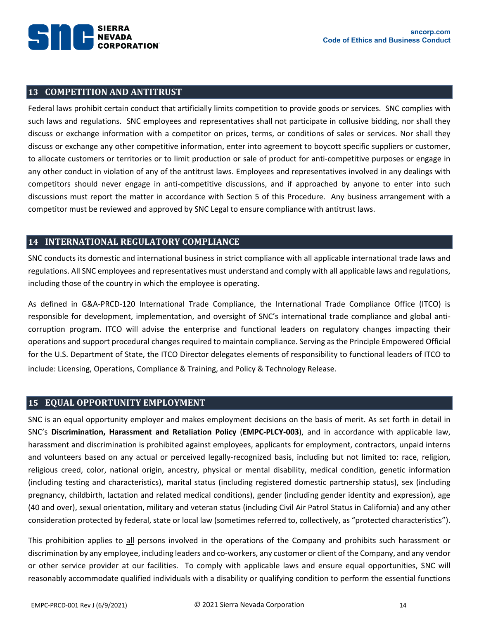

## <span id="page-13-0"></span>**13 COMPETITION AND ANTITRUST**

Federal laws prohibit certain conduct that artificially limits competition to provide goods or services. SNC complies with such laws and regulations. SNC employees and representatives shall not participate in collusive bidding, nor shall they discuss or exchange information with a competitor on prices, terms, or conditions of sales or services. Nor shall they discuss or exchange any other competitive information, enter into agreement to boycott specific suppliers or customer, to allocate customers or territories or to limit production or sale of product for anti-competitive purposes or engage in any other conduct in violation of any of the antitrust laws. Employees and representatives involved in any dealings with competitors should never engage in anti-competitive discussions, and if approached by anyone to enter into such discussions must report the matter in accordance with Section [5](#page-4-0) of this Procedure. Any business arrangement with a competitor must be reviewed and approved by SNC Legal to ensure compliance with antitrust laws.

## <span id="page-13-1"></span>**14 INTERNATIONAL REGULATORY COMPLIANCE**

SNC conducts its domestic and international business in strict compliance with all applicable international trade laws and regulations. All SNC employees and representatives must understand and comply with all applicable laws and regulations, including those of the country in which the employee is operating.

As defined in G&A-PRCD-120 International Trade Compliance, the International Trade Compliance Office (ITCO) is responsible for development, implementation, and oversight of SNC's international trade compliance and global anticorruption program. ITCO will advise the enterprise and functional leaders on regulatory changes impacting their operations and support procedural changes required to maintain compliance. Serving as the Principle Empowered Official for the U.S. Department of State, the ITCO Director delegates elements of responsibility to functional leaders of ITCO to include: Licensing, Operations, Compliance & Training, and Policy & Technology Release.

## <span id="page-13-2"></span>**15 EQUAL OPPORTUNITY EMPLOYMENT**

SNC is an equal opportunity employer and makes employment decisions on the basis of merit. As set forth in detail in SNC's **Discrimination, Harassment and Retaliation Policy** (**EMPC-PLCY-003**), and in accordance with applicable law, harassment and discrimination is prohibited against employees, applicants for employment, contractors, unpaid interns and volunteers based on any actual or perceived legally-recognized basis, including but not limited to: race, religion, religious creed, color, national origin, ancestry, physical or mental disability, medical condition, genetic information (including testing and characteristics), marital status (including registered domestic partnership status), sex (including pregnancy, childbirth, lactation and related medical conditions), gender (including gender identity and expression), age (40 and over), sexual orientation, military and veteran status (including Civil Air Patrol Status in California) and any other consideration protected by federal, state or local law (sometimes referred to, collectively, as "protected characteristics").

This prohibition applies to all persons involved in the operations of the Company and prohibits such harassment or discrimination by any employee, including leaders and co-workers, any customer or client of the Company, and any vendor or other service provider at our facilities. To comply with applicable laws and ensure equal opportunities, SNC will reasonably accommodate qualified individuals with a disability or qualifying condition to perform the essential functions